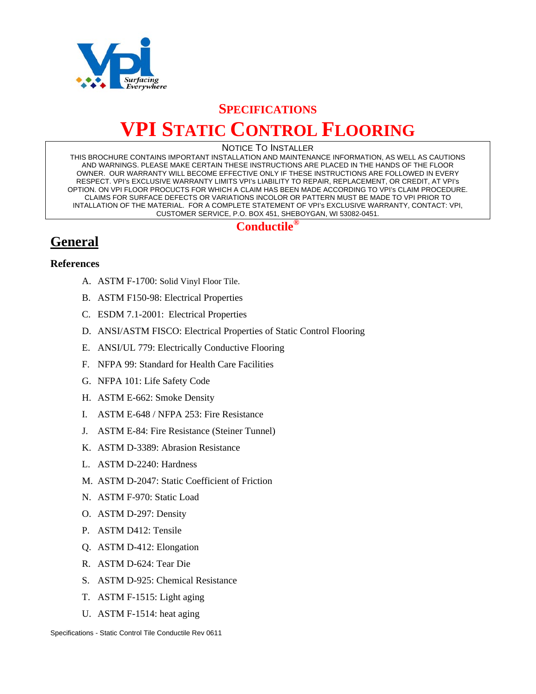

# **SPECIFICATIONS VPI STATIC CONTROL FLOORING**

#### NOTICE TO INSTALLER

THIS BROCHURE CONTAINS IMPORTANT INSTALLATION AND MAINTENANCE INFORMATION, AS WELL AS CAUTIONS AND WARNINGS. PLEASE MAKE CERTAIN THESE INSTRUCTIONS ARE PLACED IN THE HANDS OF THE FLOOR OWNER. OUR WARRANTY WILL BECOME EFFECTIVE ONLY IF THESE INSTRUCTIONS ARE FOLLOWED IN EVERY RESPECT. VPI's EXCLUSIVE WARRANTY LIMITS VPI's LIABILITY TO REPAIR, REPLACEMENT, OR CREDIT, AT VPI's OPTION. ON VPI FLOOR PROCUCTS FOR WHICH A CLAIM HAS BEEN MADE ACCORDING TO VPI's CLAIM PROCEDURE. CLAIMS FOR SURFACE DEFECTS OR VARIATIONS INCOLOR OR PATTERN MUST BE MADE TO VPI PRIOR TO INTALLATION OF THE MATERIAL. FOR A COMPLETE STATEMENT OF VPI's EXCLUSIVE WARRANTY, CONTACT: VPI, CUSTOMER SERVICE, P.O. BOX 451, SHEBOYGAN, WI 53082-0451.

#### **Conductile®**

# **General**

#### **References**

- A. ASTM F-1700: Solid Vinyl Floor Tile.
- B. ASTM F150-98: Electrical Properties
- C. ESDM 7.1-2001: Electrical Properties
- D. ANSI/ASTM FISCO: Electrical Properties of Static Control Flooring
- E. ANSI/UL 779: Electrically Conductive Flooring
- F. NFPA 99: Standard for Health Care Facilities
- G. NFPA 101: Life Safety Code
- H. ASTM E-662: Smoke Density
- I. ASTM E-648 / NFPA 253: Fire Resistance
- J. ASTM E-84: Fire Resistance (Steiner Tunnel)
- K. ASTM D-3389: Abrasion Resistance
- L. ASTM D-2240: Hardness
- M. ASTM D-2047: Static Coefficient of Friction
- N. ASTM F-970: Static Load
- O. ASTM D-297: Density
- P. ASTM D412: Tensile
- Q. ASTM D-412: Elongation
- R. ASTM D-624: Tear Die
- S. ASTM D-925: Chemical Resistance
- T. ASTM F-1515: Light aging
- U. ASTM F-1514: heat aging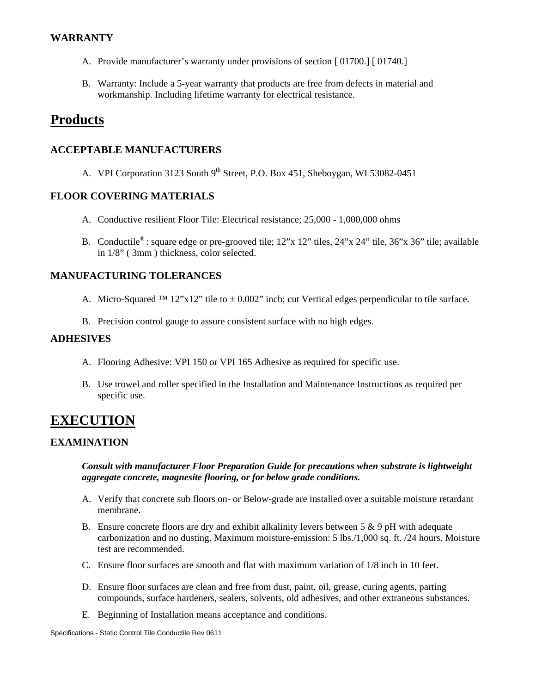#### **WARRANTY**

- A. Provide manufacturer's warranty under provisions of section [ 01700.] [ 01740.]
- B. Warranty: Include a 5-year warranty that products are free from defects in material and workmanship. Including lifetime warranty for electrical resistance.

### **Products**

#### **ACCEPTABLE MANUFACTURERS**

A. VPI Corporation 3123 South  $9<sup>th</sup>$  Street, P.O. Box 451, Sheboygan, WI 53082-0451

#### **FLOOR COVERING MATERIALS**

- A. Conductive resilient Floor Tile: Electrical resistance; 25,000 1,000,000 ohms
- B. Conductile® : square edge or pre-grooved tile; 12"x 12" tiles, 24"x 24" tile, 36"x 36" tile; available in 1/8" ( 3mm ) thickness, color selected.

#### **MANUFACTURING TOLERANCES**

- A. Micro-Squared <sup>™</sup> 12"x12" tile to  $\pm$  0.002" inch; cut Vertical edges perpendicular to tile surface.
- B. Precision control gauge to assure consistent surface with no high edges.

#### **ADHESIVES**

- A. Flooring Adhesive: VPI 150 or VPI 165 Adhesive as required for specific use.
- B. Use trowel and roller specified in the Installation and Maintenance Instructions as required per specific use.

## **EXECUTION**

#### **EXAMINATION**

*Consult with manufacturer Floor Preparation Guide for precautions when substrate is lightweight aggregate concrete, magnesite flooring, or for below grade conditions.* 

- A. Verify that concrete sub floors on- or Below-grade are installed over a suitable moisture retardant membrane.
- B. Ensure concrete floors are dry and exhibit alkalinity levers between  $5 \& 9$  pH with adequate carbonization and no dusting. Maximum moisture-emission: 5 lbs./1,000 sq. ft. /24 hours. Moisture test are recommended.
- C. Ensure floor surfaces are smooth and flat with maximum variation of 1/8 inch in 10 feet.
- D. Ensure floor surfaces are clean and free from dust, paint, oil, grease, curing agents, parting compounds, surface hardeners, sealers, solvents, old adhesives, and other extraneous substances.
- E. Beginning of Installation means acceptance and conditions.